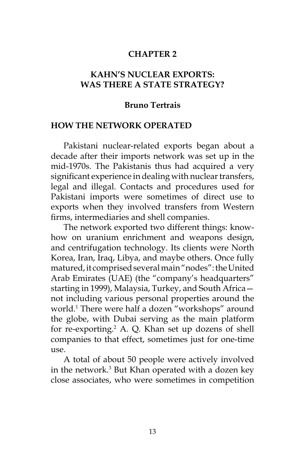### **CHAPTER 2**

### **KAHN'S NUCLEAR EXPORTS: WAS THERE A STATE STRATEGY?**

#### **Bruno Tertrais**

#### **HOW THE NETWORK OPERATED**

Pakistani nuclear-related exports began about a decade after their imports network was set up in the mid-1970s. The Pakistanis thus had acquired a very significant experience in dealing with nuclear transfers, legal and illegal. Contacts and procedures used for Pakistani imports were sometimes of direct use to exports when they involved transfers from Western firms, intermediaries and shell companies.

The network exported two different things: knowhow on uranium enrichment and weapons design, and centrifugation technology. Its clients were North Korea, Iran, Iraq, Libya, and maybe others. Once fully matured, it comprised several main "nodes": the United Arab Emirates (UAE) (the "company's headquarters" starting in 1999), Malaysia, Turkey, and South Africa not including various personal properties around the world.1 There were half a dozen "workshops" around the globe, with Dubai serving as the main platform for re-exporting.<sup>2</sup> A. Q. Khan set up dozens of shell companies to that effect, sometimes just for one-time  $11$ S $e^-$ 

A total of about 50 people were actively involved in the network.<sup>3</sup> But Khan operated with a dozen key close associates, who were sometimes in competition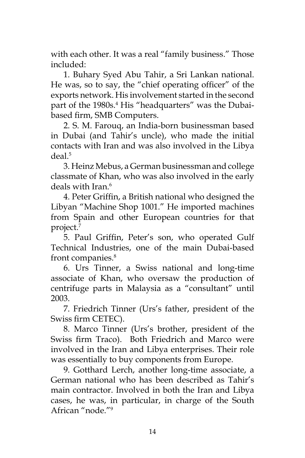with each other. It was a real "family business." Those included:

1. Buhary Syed Abu Tahir, a Sri Lankan national. He was, so to say, the "chief operating officer" of the exports network. His involvement started in the second part of the 1980s.<sup>4</sup> His "headquarters" was the Dubaibased firm, SMB Computers.

2. S. M. Farouq, an India-born businessman based in Dubai (and Tahir's uncle), who made the initial contacts with Iran and was also involved in the Libya deal.5

3. Heinz Mebus, a German businessman and college classmate of Khan, who was also involved in the early deals with Iran.<sup>6</sup>

4. Peter Griffin, a British national who designed the Libyan "Machine Shop 1001." He imported machines from Spain and other European countries for that project.7

5. Paul Griffin, Peter's son, who operated Gulf Technical Industries, one of the main Dubai-based front companies.8

6. Urs Tinner, a Swiss national and long-time associate of Khan, who oversaw the production of centrifuge parts in Malaysia as a "consultant" until 2003.

7. Friedrich Tinner (Urs's father, president of the Swiss firm CETEC).

8. Marco Tinner (Urs's brother, president of the Swiss firm Traco). Both Friedrich and Marco were involved in the Iran and Libya enterprises. Their role was essentially to buy components from Europe.

9. Gotthard Lerch, another long-time associate, a German national who has been described as Tahir's main contractor. Involved in both the Iran and Libya cases, he was, in particular, in charge of the South African "node."9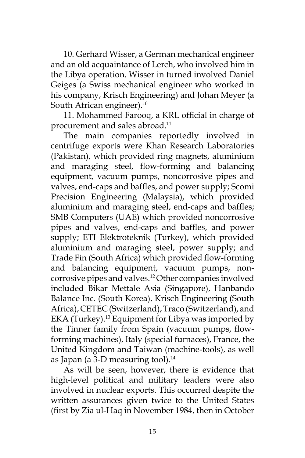10. Gerhard Wisser, a German mechanical engineer and an old acquaintance of Lerch, who involved him in the Libya operation. Wisser in turned involved Daniel Geiges (a Swiss mechanical engineer who worked in his company, Krisch Engineering) and Johan Meyer (a South African engineer).<sup>10</sup>

11. Mohammed Farooq, a KRL official in charge of procurement and sales abroad.<sup>11</sup>

The main companies reportedly involved in centrifuge exports were Khan Research Laboratories (Pakistan), which provided ring magnets, aluminium and maraging steel, flow-forming and balancing equipment, vacuum pumps, noncorrosive pipes and valves, end-caps and baffles, and power supply; Scomi Precision Engineering (Malaysia), which provided aluminium and maraging steel, end-caps and baffles; SMB Computers (UAE) which provided noncorrosive pipes and valves, end-caps and baffles, and power supply; ETI Elektroteknik (Turkey), which provided aluminium and maraging steel, power supply; and Trade Fin (South Africa) which provided flow-forming and balancing equipment, vacuum pumps, noncorrosive pipes and valves.12 Other companies involved included Bikar Mettale Asia (Singapore), Hanbando Balance Inc. (South Korea), Krisch Engineering (South Africa), CETEC (Switzerland), Traco (Switzerland), and EKA (Turkey).<sup>13</sup> Equipment for Libya was imported by the Tinner family from Spain (vacuum pumps, flowforming machines), Italy (special furnaces), France, the United Kingdom and Taiwan (machine-tools), as well as Japan (a 3-D measuring tool).<sup>14</sup>

As will be seen, however, there is evidence that high-level political and military leaders were also involved in nuclear exports. This occurred despite the written assurances given twice to the United States (first by Zia ul-Haq in November 1984, then in October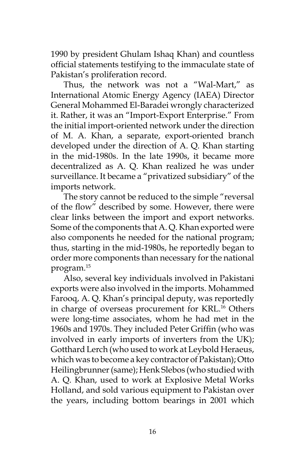1990 by president Ghulam Ishaq Khan) and countless official statements testifying to the immaculate state of Pakistan's proliferation record.

Thus, the network was not a "Wal-Mart," as International Atomic Energy Agency (IAEA) Director General Mohammed El-Baradei wrongly characterized it. Rather, it was an "Import-Export Enterprise." From the initial import-oriented network under the direction of M. A. Khan, a separate, export-oriented branch developed under the direction of A. Q. Khan starting in the mid-1980s. In the late 1990s, it became more decentralized as A. Q. Khan realized he was under surveillance. It became a "privatized subsidiary" of the imports network.

The story cannot be reduced to the simple "reversal of the flow" described by some. However, there were clear links between the import and export networks. Some of the components that A. Q. Khan exported were also components he needed for the national program; thus, starting in the mid-1980s, he reportedly began to order more components than necessary for the national program.15

Also, several key individuals involved in Pakistani exports were also involved in the imports. Mohammed Farooq, A. Q. Khan's principal deputy, was reportedly in charge of overseas procurement for KRL.<sup>16</sup> Others were long-time associates, whom he had met in the 1960s and 1970s. They included Peter Griffin (who was involved in early imports of inverters from the UK); Gotthard Lerch (who used to work at Leybold Heraeus, which was to become a key contractor of Pakistan); Otto Heilingbrunner (same); Henk Slebos (who studied with A. Q. Khan, used to work at Explosive Metal Works Holland, and sold various equipment to Pakistan over the years, including bottom bearings in 2001 which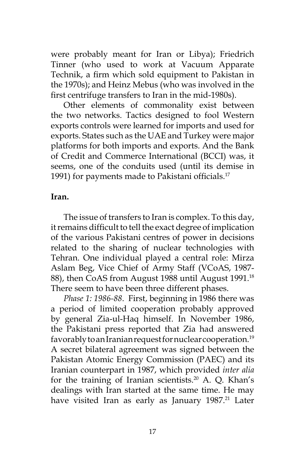were probably meant for Iran or Libya); Friedrich Tinner (who used to work at Vacuum Apparate Technik, a firm which sold equipment to Pakistan in the 1970s); and Heinz Mebus (who was involved in the first centrifuge transfers to Iran in the mid-1980s).

Other elements of commonality exist between the two networks. Tactics designed to fool Western exports controls were learned for imports and used for exports. States such as the UAE and Turkey were major platforms for both imports and exports. And the Bank of Credit and Commerce International (BCCI) was, it seems, one of the conduits used (until its demise in 1991) for payments made to Pakistani officials.<sup>17</sup>

#### **Iran.**

The issue of transfers to Iran is complex. To this day, it remains difficult to tell the exact degree of implication of the various Pakistani centres of power in decisions related to the sharing of nuclear technologies with Tehran. One individual played a central role: Mirza Aslam Beg, Vice Chief of Army Staff (VCoAS, 1987- 88), then CoAS from August 1988 until August 1991.<sup>18</sup> There seem to have been three different phases.

*Phase 1: 1986-88*. First, beginning in 1986 there was a period of limited cooperation probably approved by general Zia-ul-Haq himself. In November 1986, the Pakistani press reported that Zia had answered favorably to an Iranian request for nuclear cooperation.<sup>19</sup> A secret bilateral agreement was signed between the Pakistan Atomic Energy Commission (PAEC) and its Iranian counterpart in 1987, which provided *inter alia* for the training of Iranian scientists.<sup>20</sup> A. Q. Khan's dealings with Iran started at the same time. He may have visited Iran as early as January 1987.<sup>21</sup> Later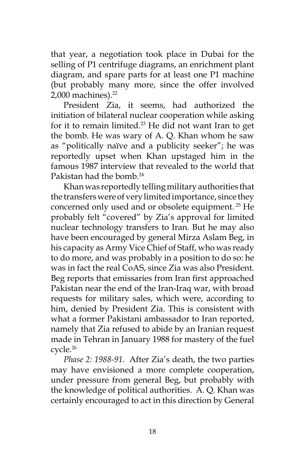that year, a negotiation took place in Dubai for the selling of P1 centrifuge diagrams, an enrichment plant diagram, and spare parts for at least one P1 machine (but probably many more, since the offer involved 2,000 machines).<sup>22</sup>

President Zia, it seems, had authorized the initiation of bilateral nuclear cooperation while asking for it to remain limited.<sup>23</sup> He did not want Iran to get the bomb. He was wary of A. Q. Khan whom he saw as "politically naïve and a publicity seeker"; he was reportedly upset when Khan upstaged him in the famous 1987 interview that revealed to the world that Pakistan had the bomb.<sup>24</sup>

Khan was reportedly telling military authorities that the transfers were of very limited importance, since they concerned only used and or obsolete equipment. 25 He probably felt "covered" by Zia's approval for limited nuclear technology transfers to Iran. But he may also have been encouraged by general Mirza Aslam Beg, in his capacity as Army Vice Chief of Staff, who was ready to do more, and was probably in a position to do so: he was in fact the real CoAS, since Zia was also President. Beg reports that emissaries from Iran first approached Pakistan near the end of the Iran-Iraq war, with broad requests for military sales, which were, according to him, denied by President Zia. This is consistent with what a former Pakistani ambassador to Iran reported, namely that Zia refused to abide by an Iranian request made in Tehran in January 1988 for mastery of the fuel cycle.26

*Phase 2: 1988-91*. After Zia's death, the two parties may have envisioned a more complete cooperation, under pressure from general Beg, but probably with the knowledge of political authorities. A. Q. Khan was certainly encouraged to act in this direction by General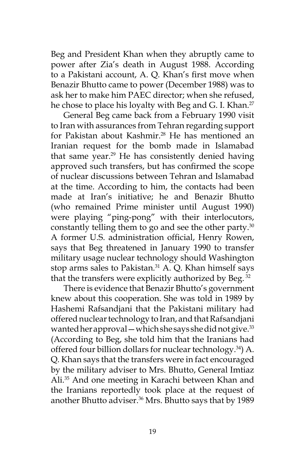Beg and President Khan when they abruptly came to power after Zia's death in August 1988. According to a Pakistani account, A. Q. Khan's first move when Benazir Bhutto came to power (December 1988) was to ask her to make him PAEC director; when she refused, he chose to place his loyalty with Beg and G. I. Khan.<sup>27</sup>

General Beg came back from a February 1990 visit to Iran with assurances from Tehran regarding support for Pakistan about Kashmir.<sup>28</sup> He has mentioned an Iranian request for the bomb made in Islamabad that same year.<sup>29</sup> He has consistently denied having approved such transfers, but has confirmed the scope of nuclear discussions between Tehran and Islamabad at the time. According to him, the contacts had been made at Iran's initiative; he and Benazir Bhutto (who remained Prime minister until August 1990) were playing "ping-pong" with their interlocutors, constantly telling them to go and see the other party.<sup>30</sup> A former U.S. administration official, Henry Rowen, says that Beg threatened in January 1990 to transfer military usage nuclear technology should Washington stop arms sales to Pakistan.<sup>31</sup> A. Q. Khan himself says that the transfers were explicitly authorized by Beg.<sup>32</sup>

There is evidence that Benazir Bhutto's government knew about this cooperation. She was told in 1989 by Hashemi Rafsandjani that the Pakistani military had offered nuclear technology to Iran, and that Rafsandjani wanted her approval — which she says she did not give.<sup>33</sup> (According to Beg, she told him that the Iranians had offered four billion dollars for nuclear technology.<sup>34</sup>) A. Q. Khan says that the transfers were in fact encouraged by the military adviser to Mrs. Bhutto, General Imtiaz Ali.35 And one meeting in Karachi between Khan and the Iranians reportedly took place at the request of another Bhutto adviser.<sup>36</sup> Mrs. Bhutto says that by 1989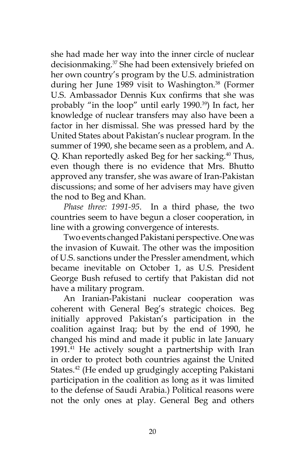she had made her way into the inner circle of nuclear decisionmaking.<sup>37</sup> She had been extensively briefed on her own country's program by the U.S. administration during her June 1989 visit to Washington.<sup>38</sup> (Former U.S. Ambassador Dennis Kux confirms that she was probably "in the loop" until early 1990.<sup>39</sup>) In fact, her knowledge of nuclear transfers may also have been a factor in her dismissal. She was pressed hard by the United States about Pakistan's nuclear program. In the summer of 1990, she became seen as a problem, and A. Q. Khan reportedly asked Beg for her sacking.<sup>40</sup> Thus, even though there is no evidence that Mrs. Bhutto approved any transfer, she was aware of Iran-Pakistan discussions; and some of her advisers may have given the nod to Beg and Khan.

*Phase three: 1991-95*. In a third phase, the two countries seem to have begun a closer cooperation, in line with a growing convergence of interests.

Two events changed Pakistani perspective. One was the invasion of Kuwait. The other was the imposition of U.S. sanctions under the Pressler amendment, which became inevitable on October 1, as U.S. President George Bush refused to certify that Pakistan did not have a military program.

An Iranian-Pakistani nuclear cooperation was coherent with General Beg's strategic choices. Beg initially approved Pakistan's participation in the coalition against Iraq; but by the end of 1990, he changed his mind and made it public in late January 1991.<sup>41</sup> He actively sought a partnertship with Iran in order to protect both countries against the United States.<sup>42</sup> (He ended up grudgingly accepting Pakistani participation in the coalition as long as it was limited to the defense of Saudi Arabia.) Political reasons were not the only ones at play. General Beg and others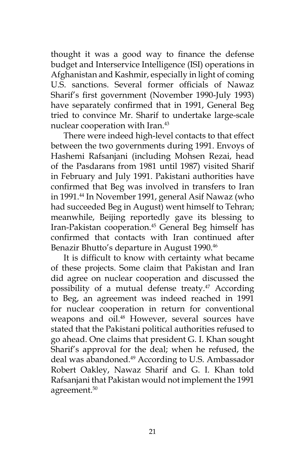thought it was a good way to finance the defense budget and Interservice Intelligence (ISI) operations in Afghanistan and Kashmir, especially in light of coming U.S. sanctions. Several former officials of Nawaz Sharif's first government (November 1990-July 1993) have separately confirmed that in 1991, General Beg tried to convince Mr. Sharif to undertake large-scale nuclear cooperation with Iran.<sup>43</sup>

There were indeed high-level contacts to that effect between the two governments during 1991. Envoys of Hashemi Rafsanjani (including Mohsen Rezai, head of the Pasdarans from 1981 until 1987) visited Sharif in February and July 1991. Pakistani authorities have confirmed that Beg was involved in transfers to Iran in 1991.<sup>44</sup> In November 1991, general Asif Nawaz (who had succeeded Beg in August) went himself to Tehran; meanwhile, Beijing reportedly gave its blessing to Iran-Pakistan cooperation.<sup>45</sup> General Beg himself has confirmed that contacts with Iran continued after Benazir Bhutto's departure in August 1990.<sup>46</sup>

It is difficult to know with certainty what became of these projects. Some claim that Pakistan and Iran did agree on nuclear cooperation and discussed the possibility of a mutual defense treaty.<sup>47</sup> According to Beg, an agreement was indeed reached in 1991 for nuclear cooperation in return for conventional weapons and oil.<sup>48</sup> However, several sources have stated that the Pakistani political authorities refused to go ahead. One claims that president G. I. Khan sought Sharif's approval for the deal; when he refused, the deal was abandoned.<sup>49</sup> According to U.S. Ambassador Robert Oakley, Nawaz Sharif and G. I. Khan told Rafsanjani that Pakistan would not implement the 1991 agreement.<sup>50</sup>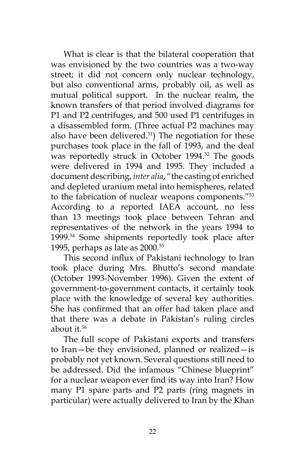What is clear is that the bilateral cooperation that was envisioned by the two countries was a two-way street; it did not concern only nuclear technology, but also conventional arms, probably oil, as well as mutual political support. In the nuclear realm, the known transfers of that period involved diagrams for P1 and P2 centrifuges, and 500 used P1 centrifuges in a disassembled form. (Three actual P2 machines may also have been delivered. $51$ ) The negotiation for these purchases took place in the fall of 1993, and the deal was reportedly struck in October 1994.<sup>52</sup> The goods were delivered in 1994 and 1995. They included a document describing, *inter alia*, "the casting of enriched and depleted uranium metal into hemispheres, related to the fabrication of nuclear weapons components."53 According to a reported IAEA account, no less than 13 meetings took place between Tehran and representatives of the network in the years 1994 to 1999.54 Some shipments reportedly took place after 1995, perhaps as late as 2000.55

This second influx of Pakistani technology to Iran took place during Mrs. Bhutto's second mandate (October 1993-November 1996). Given the extent of government-to-government contacts, it certainly took place with the knowledge of several key authorities. She has confirmed that an offer had taken place and that there was a debate in Pakistan's ruling circles about it. $56$ 

The full scope of Pakistani exports and transfers to Iran—be they envisioned, planned or realized—is probably not yet known. Several questions still need to be addressed. Did the infamous "Chinese blueprint" for a nuclear weapon ever find its way into Iran? How many P1 spare parts and P2 parts (ring magnets in particular) were actually delivered to Iran by the Khan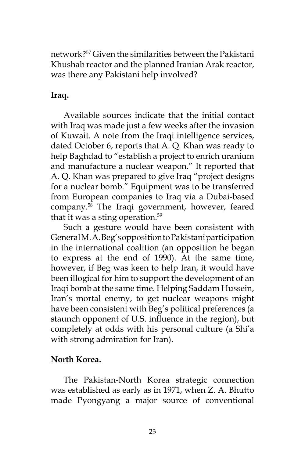network?57 Given the similarities between the Pakistani Khushab reactor and the planned Iranian Arak reactor, was there any Pakistani help involved?

# **Iraq.**

Available sources indicate that the initial contact with Iraq was made just a few weeks after the invasion of Kuwait. A note from the Iraqi intelligence services, dated October 6, reports that A. Q. Khan was ready to help Baghdad to "establish a project to enrich uranium and manufacture a nuclear weapon." It reported that A. Q. Khan was prepared to give Iraq "project designs for a nuclear bomb." Equipment was to be transferred from European companies to Iraq via a Dubai-based company.58 The Iraqi government, however, feared that it was a sting operation. $59$ 

Such a gesture would have been consistent with General M. A. Beg's opposition to Pakistani participation in the international coalition (an opposition he began to express at the end of 1990). At the same time, however, if Beg was keen to help Iran, it would have been illogical for him to support the development of an Iraqi bomb at the same time. Helping Saddam Hussein, Iran's mortal enemy, to get nuclear weapons might have been consistent with Beg's political preferences (a staunch opponent of U.S. influence in the region), but completely at odds with his personal culture (a Shi'a with strong admiration for Iran).

## **North Korea.**

The Pakistan-North Korea strategic connection was established as early as in 1971, when Z. A. Bhutto made Pyongyang a major source of conventional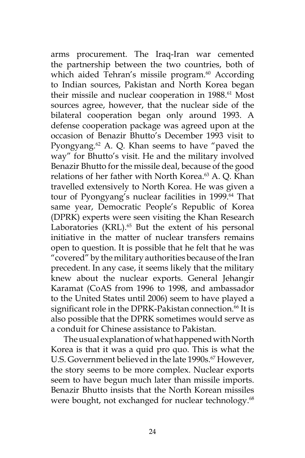arms procurement. The Iraq-Iran war cemented the partnership between the two countries, both of which aided Tehran's missile program.<sup>60</sup> According to Indian sources, Pakistan and North Korea began their missile and nuclear cooperation in 1988.<sup>61</sup> Most sources agree, however, that the nuclear side of the bilateral cooperation began only around 1993. A defense cooperation package was agreed upon at the occasion of Benazir Bhutto's December 1993 visit to Pyongyang. $62$  A. Q. Khan seems to have "paved the way" for Bhutto's visit. He and the military involved Benazir Bhutto for the missile deal, because of the good relations of her father with North Korea.<sup>63</sup> A. Q. Khan travelled extensively to North Korea. He was given a tour of Pyongyang's nuclear facilities in 1999.<sup>64</sup> That same year, Democratic People's Republic of Korea (DPRK) experts were seen visiting the Khan Research Laboratories (KRL). $65$  But the extent of his personal initiative in the matter of nuclear transfers remains open to question. It is possible that he felt that he was "covered" by the military authorities because of the Iran precedent. In any case, it seems likely that the military knew about the nuclear exports. General Jehangir Karamat (CoAS from 1996 to 1998, and ambassador to the United States until 2006) seem to have played a significant role in the DPRK-Pakistan connection.<sup>66</sup> It is also possible that the DPRK sometimes would serve as a conduit for Chinese assistance to Pakistan.

The usual explanation of what happened with North Korea is that it was a quid pro quo. This is what the U.S. Government believed in the late 1990s.<sup>67</sup> However, the story seems to be more complex. Nuclear exports seem to have begun much later than missile imports. Benazir Bhutto insists that the North Korean missiles were bought, not exchanged for nuclear technology.<sup>68</sup>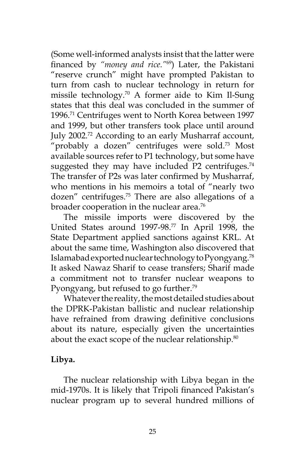(Some well-informed analysts insist that the latter were financed by *"money and rice."*69) Later, the Pakistani "reserve crunch" might have prompted Pakistan to turn from cash to nuclear technology in return for missile technology.70 A former aide to Kim Il-Sung states that this deal was concluded in the summer of 1996.71 Centrifuges went to North Korea between 1997 and 1999, but other transfers took place until around July 2002.72 According to an early Musharraf account, "probably a dozen" centrifuges were sold.<sup>73</sup> Most available sources refer to P1 technology, but some have suggested they may have included  $P2$  centrifuges.<sup>74</sup> The transfer of P2s was later confirmed by Musharraf, who mentions in his memoirs a total of "nearly two dozen" centrifuges.75 There are also allegations of a broader cooperation in the nuclear area.<sup>76</sup>

The missile imports were discovered by the United States around 1997-98.77 In April 1998, the State Department applied sanctions against KRL. At about the same time, Washington also discovered that Islamabad exported nuclear technology to Pyongyang.78 It asked Nawaz Sharif to cease transfers; Sharif made a commitment not to transfer nuclear weapons to Pyongyang, but refused to go further.<sup>79</sup>

Whatever the reality, the most detailed studies about the DPRK-Pakistan ballistic and nuclear relationship have refrained from drawing definitive conclusions about its nature, especially given the uncertainties about the exact scope of the nuclear relationship.<sup>80</sup>

### **Libya.**

The nuclear relationship with Libya began in the mid-1970s. It is likely that Tripoli financed Pakistan's nuclear program up to several hundred millions of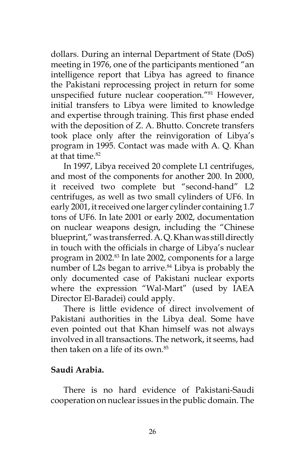dollars. During an internal Department of State (DoS) meeting in 1976, one of the participants mentioned "an intelligence report that Libya has agreed to finance the Pakistani reprocessing project in return for some unspecified future nuclear cooperation."81 However, initial transfers to Libya were limited to knowledge and expertise through training. This first phase ended with the deposition of Z. A. Bhutto. Concrete transfers took place only after the reinvigoration of Libya's program in 1995. Contact was made with A. Q. Khan at that time.<sup>82</sup>

In 1997, Libya received 20 complete L1 centrifuges, and most of the components for another 200. In 2000, it received two complete but "second-hand" L2 centrifuges, as well as two small cylinders of UF6. In early 2001, it received one larger cylinder containing 1.7 tons of UF6. In late 2001 or early 2002, documentation on nuclear weapons design, including the "Chinese blueprint," was transferred. A. Q. Khan was still directly in touch with the officials in charge of Libya's nuclear program in 2002.<sup>83</sup> In late 2002, components for a large number of L2s began to arrive.<sup>84</sup> Libya is probably the only documented case of Pakistani nuclear exports where the expression "Wal-Mart" (used by IAEA Director El-Baradei) could apply.

There is little evidence of direct involvement of Pakistani authorities in the Libya deal. Some have even pointed out that Khan himself was not always involved in all transactions. The network, it seems, had then taken on a life of its own  $85$ 

### **Saudi Arabia.**

There is no hard evidence of Pakistani-Saudi cooperation on nuclear issues in the public domain. The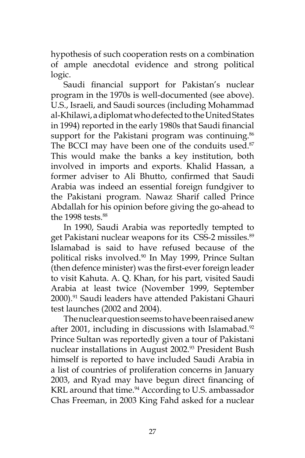hypothesis of such cooperation rests on a combination of ample anecdotal evidence and strong political logic.

Saudi financial support for Pakistan's nuclear program in the 1970s is well-documented (see above). U.S., Israeli, and Saudi sources (including Mohammad al-Khilawi, a diplomat who defected to the United States in 1994) reported in the early 1980s that Saudi financial support for the Pakistani program was continuing.<sup>86</sup> The BCCI may have been one of the conduits used.<sup>87</sup> This would make the banks a key institution, both involved in imports and exports. Khalid Hassan, a former adviser to Ali Bhutto, confirmed that Saudi Arabia was indeed an essential foreign fundgiver to the Pakistani program. Nawaz Sharif called Prince Abdallah for his opinion before giving the go-ahead to the 1998 tests. $88$ 

In 1990, Saudi Arabia was reportedly tempted to get Pakistani nuclear weapons for its CSS-2 missiles.<sup>89</sup> Islamabad is said to have refused because of the political risks involved.90 In May 1999, Prince Sultan (then defence minister) was the first-ever foreign leader to visit Kahuta. A. Q. Khan, for his part, visited Saudi Arabia at least twice (November 1999, September 2000).91 Saudi leaders have attended Pakistani Ghauri test launches (2002 and 2004).

The nuclear question seems to have been raised anew after 2001, including in discussions with Islamabad.<sup>92</sup> Prince Sultan was reportedly given a tour of Pakistani nuclear installations in August 2002.<sup>93</sup> President Bush himself is reported to have included Saudi Arabia in a list of countries of proliferation concerns in January 2003, and Ryad may have begun direct financing of KRL around that time.<sup>94</sup> According to U.S. ambassador Chas Freeman, in 2003 King Fahd asked for a nuclear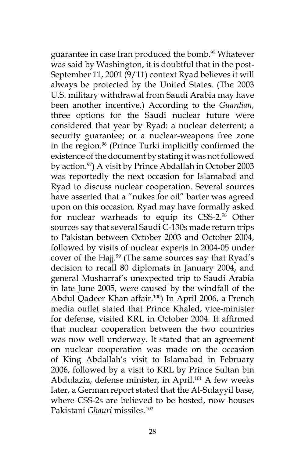guarantee in case Iran produced the bomb.<sup>95</sup> Whatever was said by Washington, it is doubtful that in the post-September 11, 2001 (9/11) context Ryad believes it will always be protected by the United States. (The 2003 U.S. military withdrawal from Saudi Arabia may have been another incentive.) According to the *Guardian,*  three options for the Saudi nuclear future were considered that year by Ryad: a nuclear deterrent; a security guarantee; or a nuclear-weapons free zone in the region.<sup>96</sup> (Prince Turki implicitly confirmed the existence of the document by stating it was not followed by action.<sup>97</sup>) A visit by Prince Abdallah in October 2003 was reportedly the next occasion for Islamabad and Ryad to discuss nuclear cooperation. Several sources have asserted that a "nukes for oil" barter was agreed upon on this occasion. Ryad may have formally asked for nuclear warheads to equip its CSS-2.98 Other sources say that several Saudi C-130s made return trips to Pakistan between October 2003 and October 2004, followed by visits of nuclear experts in 2004-05 under cover of the Hajj.<sup>99</sup> (The same sources say that Ryad's decision to recall 80 diplomats in January 2004, and general Musharraf's unexpected trip to Saudi Arabia in late June 2005, were caused by the windfall of the Abdul Qadeer Khan affair.<sup>100</sup>) In April 2006, a French media outlet stated that Prince Khaled, vice-minister for defense, visited KRL in October 2004. It affirmed that nuclear cooperation between the two countries was now well underway. It stated that an agreement on nuclear cooperation was made on the occasion of King Abdallah's visit to Islamabad in February 2006, followed by a visit to KRL by Prince Sultan bin Abdulaziz, defense minister, in April.<sup>101</sup> A few weeks later, a German report stated that the Al-Sulayyil base, where CSS-2s are believed to be hosted, now houses Pakistani *Ghauri* missiles.102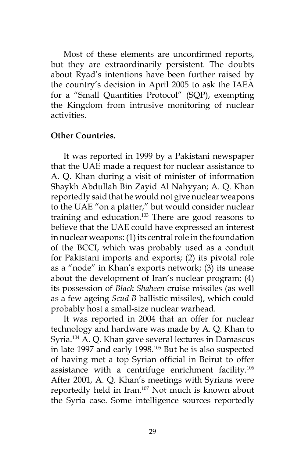Most of these elements are unconfirmed reports, but they are extraordinarily persistent. The doubts about Ryad's intentions have been further raised by the country's decision in April 2005 to ask the IAEA for a "Small Quantities Protocol" (SQP), exempting the Kingdom from intrusive monitoring of nuclear activities.

#### **Other Countries.**

It was reported in 1999 by a Pakistani newspaper that the UAE made a request for nuclear assistance to A. Q. Khan during a visit of minister of information Shaykh Abdullah Bin Zayid Al Nahyyan; A. Q. Khan reportedly said that he would not give nuclear weapons to the UAE "on a platter," but would consider nuclear training and education.<sup>103</sup> There are good reasons to believe that the UAE could have expressed an interest in nuclear weapons: (1) its central role in the foundation of the BCCI, which was probably used as a conduit for Pakistani imports and exports; (2) its pivotal role as a "node" in Khan's exports network; (3) its unease about the development of Iran's nuclear program; (4) its possession of *Black Shaheen* cruise missiles (as well as a few ageing *Scud B* ballistic missiles), which could probably host a small-size nuclear warhead.

It was reported in 2004 that an offer for nuclear technology and hardware was made by A. Q. Khan to Syria.104 A. Q. Khan gave several lectures in Damascus in late 1997 and early 1998.<sup>105</sup> But he is also suspected of having met a top Syrian official in Beirut to offer assistance with a centrifuge enrichment facility.106 After 2001, A. Q. Khan's meetings with Syrians were reportedly held in Iran.107 Not much is known about the Syria case. Some intelligence sources reportedly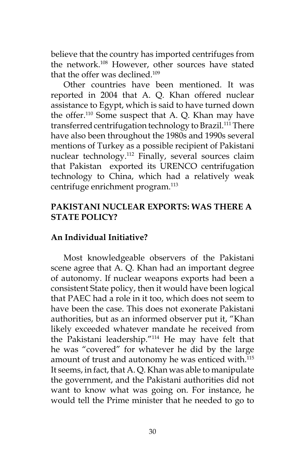believe that the country has imported centrifuges from the network.<sup>108</sup> However, other sources have stated that the offer was declined.109

Other countries have been mentioned. It was reported in 2004 that A. Q. Khan offered nuclear assistance to Egypt, which is said to have turned down the offer.110 Some suspect that A. Q. Khan may have transferred centrifugation technology to Brazil.<sup>111</sup> There have also been throughout the 1980s and 1990s several mentions of Turkey as a possible recipient of Pakistani nuclear technology.112 Finally, several sources claim that Pakistan exported its URENCO centrifugation technology to China, which had a relatively weak centrifuge enrichment program.<sup>113</sup>

## **PAKISTANI NUCLEAR EXPORTS: WAS THERE A STATE POLICY?**

## **An Individual Initiative?**

Most knowledgeable observers of the Pakistani scene agree that A. Q. Khan had an important degree of autonomy. If nuclear weapons exports had been a consistent State policy, then it would have been logical that PAEC had a role in it too, which does not seem to have been the case. This does not exonerate Pakistani authorities, but as an informed observer put it, "Khan likely exceeded whatever mandate he received from the Pakistani leadership."114 He may have felt that he was "covered" for whatever he did by the large amount of trust and autonomy he was enticed with.<sup>115</sup> It seems, in fact, that A. Q. Khan was able to manipulate the government, and the Pakistani authorities did not want to know what was going on. For instance, he would tell the Prime minister that he needed to go to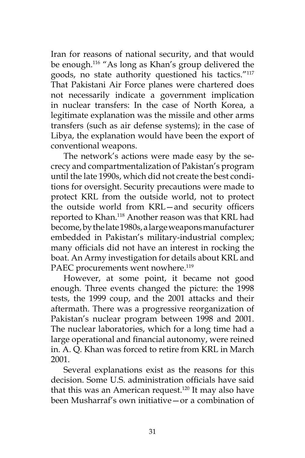Iran for reasons of national security, and that would be enough.<sup>116</sup> "As long as Khan's group delivered the goods, no state authority questioned his tactics."<sup>117</sup> That Pakistani Air Force planes were chartered does not necessarily indicate a government implication in nuclear transfers: In the case of North Korea, a legitimate explanation was the missile and other arms transfers (such as air defense systems); in the case of Libya, the explanation would have been the export of conventional weapons.

The network's actions were made easy by the secrecy and compartmentalization of Pakistan's program until the late 1990s, which did not create the best conditions for oversight. Security precautions were made to protect KRL from the outside world, not to protect the outside world from KRL—and security officers reported to Khan.118 Another reason was that KRL had become, by the late 1980s, a large weapons manufacturer embedded in Pakistan's military-industrial complex; many officials did not have an interest in rocking the boat. An Army investigation for details about KRL and PAEC procurements went nowhere.<sup>119</sup>

However, at some point, it became not good enough. Three events changed the picture: the 1998 tests, the 1999 coup, and the 2001 attacks and their aftermath. There was a progressive reorganization of Pakistan's nuclear program between 1998 and 2001. The nuclear laboratories, which for a long time had a large operational and financial autonomy, were reined in. A. Q. Khan was forced to retire from KRL in March 2001.

Several explanations exist as the reasons for this decision. Some U.S. administration officials have said that this was an American request.<sup>120</sup> It may also have been Musharraf's own initiative—or a combination of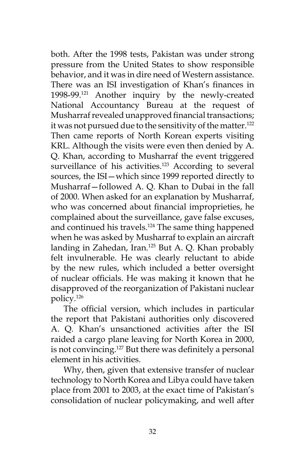both. After the 1998 tests, Pakistan was under strong pressure from the United States to show responsible behavior, and it was in dire need of Western assistance. There was an ISI investigation of Khan's finances in 1998-99.121 Another inquiry by the newly-created National Accountancy Bureau at the request of Musharraf revealed unapproved financial transactions; it was not pursued due to the sensitivity of the matter.<sup>122</sup> Then came reports of North Korean experts visiting KRL. Although the visits were even then denied by A. Q. Khan, according to Musharraf the event triggered surveillance of his activities.<sup>123</sup> According to several sources, the ISI—which since 1999 reported directly to Musharraf—followed A. Q. Khan to Dubai in the fall of 2000. When asked for an explanation by Musharraf, who was concerned about financial improprieties, he complained about the surveillance, gave false excuses, and continued his travels.<sup>124</sup> The same thing happened when he was asked by Musharraf to explain an aircraft landing in Zahedan, Iran.<sup>125</sup> But A. Q. Khan probably felt invulnerable. He was clearly reluctant to abide by the new rules, which included a better oversight of nuclear officials. He was making it known that he disapproved of the reorganization of Pakistani nuclear policy.126

The official version, which includes in particular the report that Pakistani authorities only discovered A. Q. Khan's unsanctioned activities after the ISI raided a cargo plane leaving for North Korea in 2000, is not convincing.<sup>127</sup> But there was definitely a personal element in his activities.

Why, then, given that extensive transfer of nuclear technology to North Korea and Libya could have taken place from 2001 to 2003, at the exact time of Pakistan's consolidation of nuclear policymaking, and well after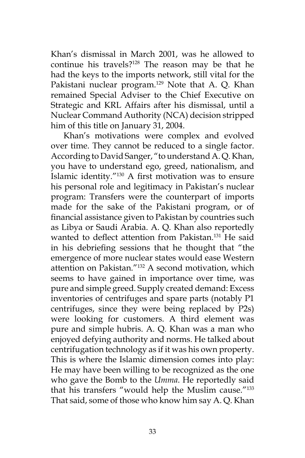Khan's dismissal in March 2001, was he allowed to continue his travels?<sup>128</sup> The reason may be that he had the keys to the imports network, still vital for the Pakistani nuclear program.<sup>129</sup> Note that A. Q. Khan remained Special Adviser to the Chief Executive on Strategic and KRL Affairs after his dismissal, until a Nuclear Command Authority (NCA) decision stripped him of this title on January 31, 2004.

Khan's motivations were complex and evolved over time. They cannot be reduced to a single factor. According to David Sanger, "to understand A. Q. Khan, you have to understand ego, greed, nationalism, and Islamic identity."130 A first motivation was to ensure his personal role and legitimacy in Pakistan's nuclear program: Transfers were the counterpart of imports made for the sake of the Pakistani program, or of financial assistance given to Pakistan by countries such as Libya or Saudi Arabia. A. Q. Khan also reportedly wanted to deflect attention from Pakistan.131 He said in his debriefing sessions that he thought that "the emergence of more nuclear states would ease Western attention on Pakistan."132 A second motivation, which seems to have gained in importance over time, was pure and simple greed. Supply created demand: Excess inventories of centrifuges and spare parts (notably P1 centrifuges, since they were being replaced by P2s) were looking for customers. A third element was pure and simple hubris. A. Q. Khan was a man who enjoyed defying authority and norms. He talked about centrifugation technology as if it was his own property. This is where the Islamic dimension comes into play: He may have been willing to be recognized as the one who gave the Bomb to the *Umma*. He reportedly said that his transfers "would help the Muslim cause."133 That said, some of those who know him say A. Q. Khan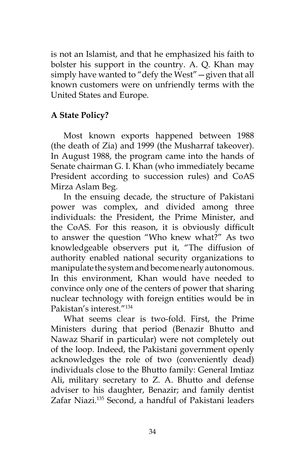is not an Islamist, and that he emphasized his faith to bolster his support in the country. A. Q. Khan may simply have wanted to "defy the West"—given that all known customers were on unfriendly terms with the United States and Europe.

# **A State Policy?**

Most known exports happened between 1988 (the death of Zia) and 1999 (the Musharraf takeover). In August 1988, the program came into the hands of Senate chairman G. I. Khan (who immediately became President according to succession rules) and CoAS Mirza Aslam Beg.

In the ensuing decade, the structure of Pakistani power was complex, and divided among three individuals: the President, the Prime Minister, and the CoAS. For this reason, it is obviously difficult to answer the question "Who knew what?" As two knowledgeable observers put it, "The diffusion of authority enabled national security organizations to manipulate the system and become nearly autonomous. In this environment, Khan would have needed to convince only one of the centers of power that sharing nuclear technology with foreign entities would be in Pakistan's interest."134

What seems clear is two-fold. First, the Prime Ministers during that period (Benazir Bhutto and Nawaz Sharif in particular) were not completely out of the loop. Indeed, the Pakistani government openly acknowledges the role of two (conveniently dead) individuals close to the Bhutto family: General Imtiaz Ali, military secretary to Z. A. Bhutto and defense adviser to his daughter, Benazir; and family dentist Zafar Niazi.135 Second, a handful of Pakistani leaders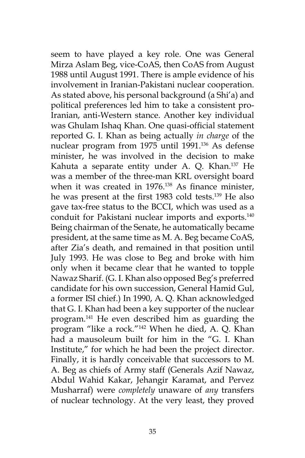seem to have played a key role. One was General Mirza Aslam Beg, vice-CoAS, then CoAS from August 1988 until August 1991. There is ample evidence of his involvement in Iranian-Pakistani nuclear cooperation. As stated above, his personal background (a Shi'a) and political preferences led him to take a consistent pro-Iranian, anti-Western stance. Another key individual was Ghulam Ishaq Khan. One quasi-official statement reported G. I. Khan as being actually *in charge* of the nuclear program from 1975 until 1991.<sup>136</sup> As defense minister, he was involved in the decision to make Kahuta a separate entity under A. Q. Khan.<sup>137</sup> He was a member of the three-man KRL oversight board when it was created in 1976.<sup>138</sup> As finance minister, he was present at the first 1983 cold tests.139 He also gave tax-free status to the BCCI, which was used as a conduit for Pakistani nuclear imports and exports.<sup>140</sup> Being chairman of the Senate, he automatically became president, at the same time as M. A. Beg became CoAS, after Zia's death, and remained in that position until July 1993. He was close to Beg and broke with him only when it became clear that he wanted to topple Nawaz Sharif. (G. I. Khan also opposed Beg's preferred candidate for his own succession, General Hamid Gul, a former ISI chief.) In 1990, A. Q. Khan acknowledged that G. I. Khan had been a key supporter of the nuclear program.141 He even described him as guarding the program "like a rock."142 When he died, A. Q. Khan had a mausoleum built for him in the "G. I. Khan Institute," for which he had been the project director. Finally, it is hardly conceivable that successors to M. A. Beg as chiefs of Army staff (Generals Azif Nawaz, Abdul Wahid Kakar, Jehangir Karamat, and Pervez Musharraf) were *completely* unaware of *any* transfers of nuclear technology. At the very least, they proved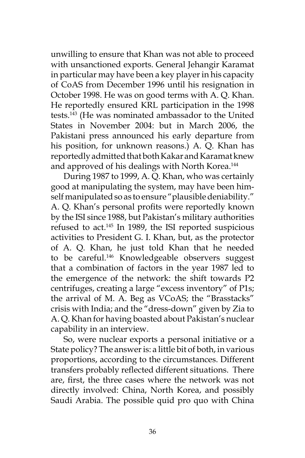unwilling to ensure that Khan was not able to proceed with unsanctioned exports. General Jehangir Karamat in particular may have been a key player in his capacity of CoAS from December 1996 until his resignation in October 1998. He was on good terms with A. Q. Khan. He reportedly ensured KRL participation in the 1998 tests.143 (He was nominated ambassador to the United States in November 2004: but in March 2006, the Pakistani press announced his early departure from his position, for unknown reasons.) A. Q. Khan has reportedly admitted that both Kakar and Karamat knew and approved of his dealings with North Korea.<sup>144</sup>

During 1987 to 1999, A. Q. Khan, who was certainly good at manipulating the system, may have been himself manipulated so as to ensure "plausible deniability." A. Q. Khan's personal profits were reportedly known by the ISI since 1988, but Pakistan's military authorities refused to act.145 In 1989, the ISI reported suspicious activities to President G. I. Khan, but, as the protector of A. Q. Khan, he just told Khan that he needed to be careful.<sup>146</sup> Knowledgeable observers suggest that a combination of factors in the year 1987 led to the emergence of the network: the shift towards P2 centrifuges, creating a large "excess inventory" of P1s; the arrival of M. A. Beg as VCoAS; the "Brasstacks" crisis with India; and the "dress-down" given by Zia to A. Q. Khan for having boasted about Pakistan's nuclear capability in an interview.

So, were nuclear exports a personal initiative or a State policy? The answer is: a little bit of both, in various proportions, according to the circumstances. Different transfers probably reflected different situations. There are, first, the three cases where the network was not directly involved: China, North Korea, and possibly Saudi Arabia. The possible quid pro quo with China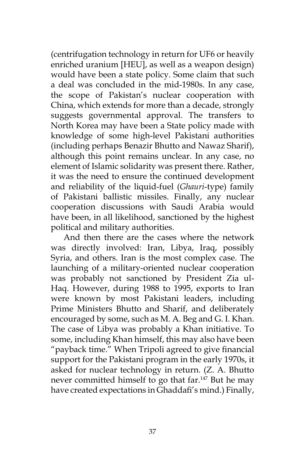(centrifugation technology in return for UF6 or heavily enriched uranium [HEU], as well as a weapon design) would have been a state policy. Some claim that such a deal was concluded in the mid-1980s. In any case, the scope of Pakistan's nuclear cooperation with China, which extends for more than a decade, strongly suggests governmental approval. The transfers to North Korea may have been a State policy made with knowledge of some high-level Pakistani authorities (including perhaps Benazir Bhutto and Nawaz Sharif), although this point remains unclear. In any case, no element of Islamic solidarity was present there. Rather, it was the need to ensure the continued development and reliability of the liquid-fuel (*Ghauri*-type) family of Pakistani ballistic missiles. Finally, any nuclear cooperation discussions with Saudi Arabia would have been, in all likelihood, sanctioned by the highest political and military authorities.

And then there are the cases where the network was directly involved: Iran, Libya, Iraq, possibly Syria, and others. Iran is the most complex case. The launching of a military-oriented nuclear cooperation was probably not sanctioned by President Zia ul-Haq. However, during 1988 to 1995, exports to Iran were known by most Pakistani leaders, including Prime Ministers Bhutto and Sharif, and deliberately encouraged by some, such as M. A. Beg and G. I. Khan. The case of Libya was probably a Khan initiative. To some, including Khan himself, this may also have been "payback time." When Tripoli agreed to give financial support for the Pakistani program in the early 1970s, it asked for nuclear technology in return. (Z. A. Bhutto never committed himself to go that far.<sup>147</sup> But he may have created expectations in Ghaddafi's mind.) Finally,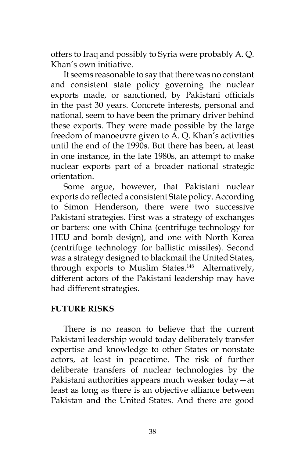offers to Iraq and possibly to Syria were probably A. Q. Khan's own initiative.

It seems reasonable to say that there was no constant and consistent state policy governing the nuclear exports made, or sanctioned, by Pakistani officials in the past 30 years. Concrete interests, personal and national, seem to have been the primary driver behind these exports. They were made possible by the large freedom of manoeuvre given to A. Q. Khan's activities until the end of the 1990s. But there has been, at least in one instance, in the late 1980s, an attempt to make nuclear exports part of a broader national strategic orientation.

Some argue, however, that Pakistani nuclear exports do reflected a consistent State policy. According to Simon Henderson, there were two successive Pakistani strategies. First was a strategy of exchanges or barters: one with China (centrifuge technology for HEU and bomb design), and one with North Korea (centrifuge technology for ballistic missiles). Second was a strategy designed to blackmail the United States, through exports to Muslim States.<sup>148</sup> Alternatively, different actors of the Pakistani leadership may have had different strategies.

## **FUTURE RISKS**

There is no reason to believe that the current Pakistani leadership would today deliberately transfer expertise and knowledge to other States or nonstate actors, at least in peacetime. The risk of further deliberate transfers of nuclear technologies by the Pakistani authorities appears much weaker today—at least as long as there is an objective alliance between Pakistan and the United States. And there are good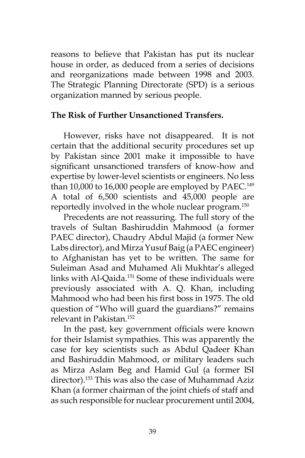reasons to believe that Pakistan has put its nuclear house in order, as deduced from a series of decisions and reorganizations made between 1998 and 2003. The Strategic Planning Directorate (SPD) is a serious organization manned by serious people.

### **The Risk of Further Unsanctioned Transfers.**

However, risks have not disappeared. It is not certain that the additional security procedures set up by Pakistan since 2001 make it impossible to have significant unsanctioned transfers of know-how and expertise by lower-level scientists or engineers. No less than 10,000 to 16,000 people are employed by PAEC.<sup>149</sup> A total of 6,500 scientists and 45,000 people are reportedly involved in the whole nuclear program.150

Precedents are not reassuring. The full story of the travels of Sultan Bashiruddin Mahmood (a former PAEC director), Chaudry Abdul Majid (a former New Labs director), and Mirza Yusuf Baig (a PAEC engineer) to Afghanistan has yet to be written. The same for Suleiman Asad and Muhamed Ali Mukhtar's alleged links with Al-Qaida.151 Some of these individuals were previously associated with A. Q. Khan, including Mahmood who had been his first boss in 1975. The old question of "Who will guard the guardians?" remains relevant in Pakistan<sup>152</sup>

In the past, key government officials were known for their Islamist sympathies. This was apparently the case for key scientists such as Abdul Qadeer Khan and Bashiruddin Mahmood, or military leaders such as Mirza Aslam Beg and Hamid Gul (a former ISI director).<sup>153</sup> This was also the case of Muhammad Aziz Khan (a former chairman of the joint chiefs of staff and as such responsible for nuclear procurement until 2004,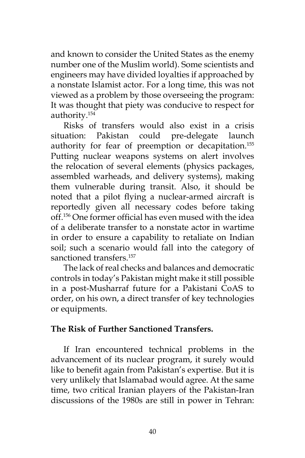and known to consider the United States as the enemy number one of the Muslim world). Some scientists and engineers may have divided loyalties if approached by a nonstate Islamist actor. For a long time, this was not viewed as a problem by those overseeing the program: It was thought that piety was conducive to respect for authority.154

Risks of transfers would also exist in a crisis situation: Pakistan could pre-delegate launch authority for fear of preemption or decapitation.155 Putting nuclear weapons systems on alert involves the relocation of several elements (physics packages, assembled warheads, and delivery systems), making them vulnerable during transit. Also, it should be noted that a pilot flying a nuclear-armed aircraft is reportedly given all necessary codes before taking off.156 One former official has even mused with the idea of a deliberate transfer to a nonstate actor in wartime in order to ensure a capability to retaliate on Indian soil; such a scenario would fall into the category of sanctioned transfers.<sup>157</sup>

The lack of real checks and balances and democratic controls in today's Pakistan might make it still possible in a post-Musharraf future for a Pakistani CoAS to order, on his own, a direct transfer of key technologies or equipments.

### **The Risk of Further Sanctioned Transfers.**

If Iran encountered technical problems in the advancement of its nuclear program, it surely would like to benefit again from Pakistan's expertise. But it is very unlikely that Islamabad would agree. At the same time, two critical Iranian players of the Pakistan-Iran discussions of the 1980s are still in power in Tehran: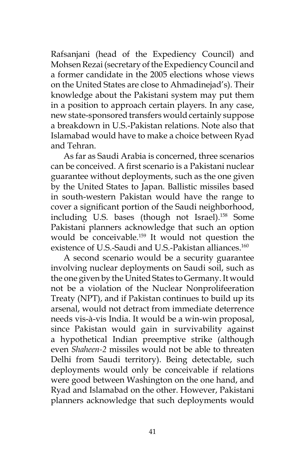Rafsanjani (head of the Expediency Council) and Mohsen Rezai (secretary of the Expediency Council and a former candidate in the 2005 elections whose views on the United States are close to Ahmadinejad's). Their knowledge about the Pakistani system may put them in a position to approach certain players. In any case, new state-sponsored transfers would certainly suppose a breakdown in U.S.-Pakistan relations. Note also that Islamabad would have to make a choice between Ryad and Tehran.

As far as Saudi Arabia is concerned, three scenarios can be conceived. A first scenario is a Pakistani nuclear guarantee without deployments, such as the one given by the United States to Japan. Ballistic missiles based in south-western Pakistan would have the range to cover a significant portion of the Saudi neighborhood, including U.S. bases (though not Israel).<sup>158</sup> Some Pakistani planners acknowledge that such an option would be conceivable.159 It would not question the existence of U.S.-Saudi and U.S.-Pakistan alliances.<sup>160</sup>

A second scenario would be a security guarantee involving nuclear deployments on Saudi soil, such as the one given by the United States to Germany. It would not be a violation of the Nuclear Nonprolifeeration Treaty (NPT), and if Pakistan continues to build up its arsenal, would not detract from immediate deterrence needs vis-à-vis India. It would be a win-win proposal, since Pakistan would gain in survivability against a hypothetical Indian preemptive strike (although even *Shaheen-2* missiles would not be able to threaten Delhi from Saudi territory). Being detectable, such deployments would only be conceivable if relations were good between Washington on the one hand, and Ryad and Islamabad on the other. However, Pakistani planners acknowledge that such deployments would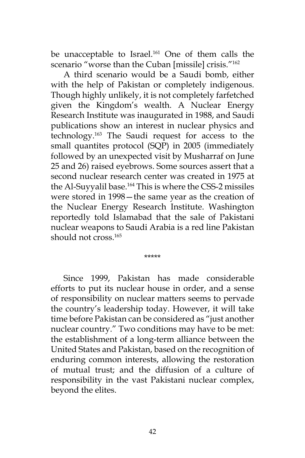be unacceptable to Israel.<sup>161</sup> One of them calls the scenario "worse than the Cuban [missile] crisis."<sup>162</sup>

A third scenario would be a Saudi bomb, either with the help of Pakistan or completely indigenous. Though highly unlikely, it is not completely farfetched given the Kingdom's wealth. A Nuclear Energy Research Institute was inaugurated in 1988, and Saudi publications show an interest in nuclear physics and technology.163 The Saudi request for access to the small quantites protocol (SQP) in 2005 (immediately followed by an unexpected visit by Musharraf on June 25 and 26) raised eyebrows. Some sources assert that a second nuclear research center was created in 1975 at the Al-Suyyalil base.<sup>164</sup> This is where the CSS-2 missiles were stored in 1998—the same year as the creation of the Nuclear Energy Research Institute. Washington reportedly told Islamabad that the sale of Pakistani nuclear weapons to Saudi Arabia is a red line Pakistan should not cross.<sup>165</sup>

\*\*\*\*\*

Since 1999, Pakistan has made considerable efforts to put its nuclear house in order, and a sense of responsibility on nuclear matters seems to pervade the country's leadership today. However, it will take time before Pakistan can be considered as "just another nuclear country." Two conditions may have to be met: the establishment of a long-term alliance between the United States and Pakistan, based on the recognition of enduring common interests, allowing the restoration of mutual trust; and the diffusion of a culture of responsibility in the vast Pakistani nuclear complex, beyond the elites.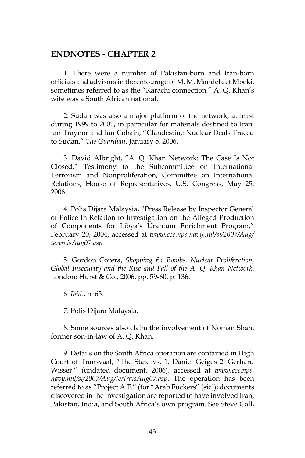#### **ENDNOTES - CHAPTER 2**

1. There were a number of Pakistan-born and Iran-born officials and advisors in the entourage of M. M. Mandela et Mbeki, sometimes referred to as the "Karachi connection." A. Q. Khan's wife was a South African national.

2. Sudan was also a major platform of the network, at least during 1999 to 2001, in particular for materials destined to Iran. Ian Traynor and Ian Cobain, "Clandestine Nuclear Deals Traced to Sudan," *The Guardian*, January 5, 2006.

3. David Albright, "A. Q. Khan Network: The Case Is Not Closed," Testimony to the Subcommittee on International Terrorism and Nonproliferation, Committee on International Relations, House of Representatives, U.S. Congress, May 25, 2006.

4. Polis Dijara Malaysia, "Press Release by Inspector General of Police In Relation to Investigation on the Alleged Production of Components for Libya's Uranium Enrichment Program," February 20, 2004, accessed at *www.ccc.nps.navy.mil/si/2007/Aug/ tertraisAug07.asp*..

5. Gordon Corera, *Shopping for Bombs. Nuclear Proliferation, Global Insecurity and the Rise and Fall of the A. Q. Khan Network*, London: Hurst & Co., 2006, pp. 59-60, p. 136.

6. *Ibid*., p. 65.

7. Polis Dijara Malaysia.

8. Some sources also claim the involvement of Noman Shah, former son-in-law of A. Q. Khan.

9. Details on the South Africa operation are contained in High Court of Transvaal, "The State vs. 1. Daniel Geiges 2. Gerhard Wisser," (undated document, 2006), accessed at *www.ccc.nps. navy.mil/si/2007/Aug/tertraisAug07.asp*. The operation has been referred to as "Project A.F." (for "Arab Fuckers" [sic]); documents discovered in the investigation are reported to have involved Iran, Pakistan, India, and South Africa's own program. See Steve Coll,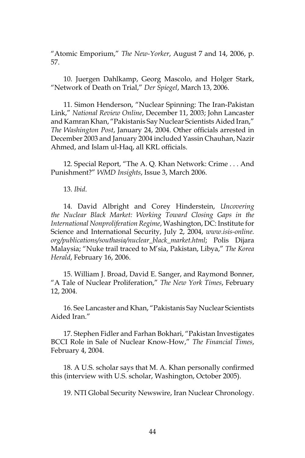"Atomic Emporium," *The New-Yorker*, August 7 and 14, 2006, p. 57.

10. Juergen Dahlkamp, Georg Mascolo, and Holger Stark, "Network of Death on Trial," *Der Spiegel*, March 13, 2006.

11. Simon Henderson, "Nuclear Spinning: The Iran-Pakistan Link," *National Review Online*, December 11, 2003; John Lancaster and Kamran Khan, "Pakistanis Say Nuclear Scientists Aided Iran," *The Washington Post*, January 24, 2004. Other officials arrested in December 2003 and January 2004 included Yassin Chauhan, Nazir Ahmed, and Islam ul-Haq, all KRL officials.

12. Special Report, "The A. Q. Khan Network: Crime . . . And Punishment?" *WMD Insights*, Issue 3, March 2006.

13. *Ibid*.

14. David Albright and Corey Hinderstein, *Uncovering the Nuclear Black Market: Working Toward Closing Gaps in the International Nonproliferation Regime*, Washington, DC: Institute for Science and International Security, July 2, 2004, *www.isis-online. org/publications/southasia/nuclear\_black\_market.html*; Polis Dijara Malaysia; "Nuke trail traced to M'sia, Pakistan, Libya," *The Korea Herald*, February 16, 2006.

15. William J. Broad, David E. Sanger, and Raymond Bonner, "A Tale of Nuclear Proliferation," *The New York Times*, February 12, 2004.

16. See Lancaster and Khan, "Pakistanis Say Nuclear Scientists Aided Iran."

17. Stephen Fidler and Farhan Bokhari, "Pakistan Investigates BCCI Role in Sale of Nuclear Know-How," *The Financial Times*, February 4, 2004.

18. A U.S. scholar says that M. A. Khan personally confirmed this (interview with U.S. scholar, Washington, October 2005).

19. NTI Global Security Newswire, Iran Nuclear Chronology.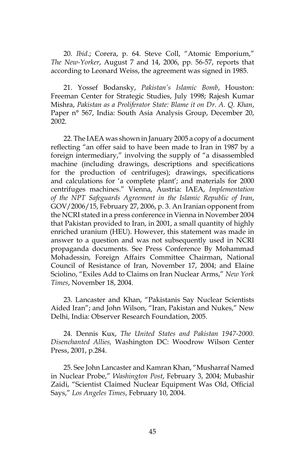20. *Ibid*.; Corera, p. 64. Steve Coll, "Atomic Emporium," *The New-Yorker*, August 7 and 14, 2006, pp. 56-57, reports that according to Leonard Weiss, the agreement was signed in 1985.

21. Yossef Bodansky, *Pakistan's Islamic Bomb*, Houston: Freeman Center for Strategic Studies, July 1998; Rajesh Kumar Mishra, *Pakistan as a Proliferator State: Blame it on Dr. A. Q. Khan*, Paper n° 567, India: South Asia Analysis Group, December 20, 2002.

22. The IAEA was shown in January 2005 a copy of a document reflecting "an offer said to have been made to Iran in 1987 by a foreign intermediary," involving the supply of "a disassembled machine (including drawings, descriptions and specifications for the production of centrifuges); drawings, specifications and calculations for 'a complete plant'; and materials for 2000 centrifuges machines." Vienna, Austria: IAEA, *Implementation of the NPT Safeguards Agreement in the Islamic Republic of Iran*, GOV/2006/15, February 27, 2006, p. 3. An Iranian opponent from the NCRI stated in a press conference in Vienna in November 2004 that Pakistan provided to Iran, in 2001, a small quantity of highly enriched uranium (HEU). However, this statement was made in answer to a question and was not subsequently used in NCRI propaganda documents. See Press Conference By Mohammad Mohadessin, Foreign Affairs Committee Chairman, National Council of Resistance of Iran, November 17, 2004; and Elaine Sciolino, "Exiles Add to Claims on Iran Nuclear Arms," *New York Times*, November 18, 2004.

23. Lancaster and Khan, "Pakistanis Say Nuclear Scientists Aided Iran"; and John Wilson, "Iran, Pakistan and Nukes," New Delhi, India: Observer Research Foundation, 2005.

24. Dennis Kux, *The United States and Pakistan 1947-2000. Disenchanted Allies,* Washington DC: Woodrow Wilson Center Press, 2001, p.284.

25. See John Lancaster and Kamran Khan, "Musharraf Named in Nuclear Probe," *Washington Post*, February 3, 2004; Mubashir Zaidi, "Scientist Claimed Nuclear Equipment Was Old, Official Says," *Los Angeles Times*, February 10, 2004.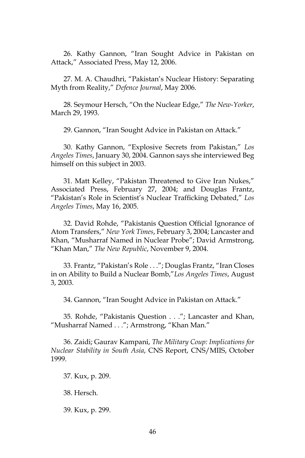26. Kathy Gannon, "Iran Sought Advice in Pakistan on Attack," Associated Press, May 12, 2006.

27. M. A. Chaudhri, "Pakistan's Nuclear History: Separating Myth from Reality," *Defence Journal*, May 2006.

28. Seymour Hersch, "On the Nuclear Edge," *The New-Yorker*, March 29, 1993.

29. Gannon, "Iran Sought Advice in Pakistan on Attack."

30. Kathy Gannon, "Explosive Secrets from Pakistan," *Los Angeles Times*, January 30, 2004. Gannon says she interviewed Beg himself on this subject in 2003.

31. Matt Kelley, "Pakistan Threatened to Give Iran Nukes," Associated Press, February 27, 2004; and Douglas Frantz, "Pakistan's Role in Scientist's Nuclear Trafficking Debated," *Los Angeles Times*, May 16, 2005.

32. David Rohde, "Pakistanis Question Official Ignorance of Atom Transfers," *New York Times*, February 3, 2004; Lancaster and Khan, "Musharraf Named in Nuclear Probe"; David Armstrong, "Khan Man," *The New Republic*, November 9, 2004.

33. Frantz, "Pakistan's Role . . ."; Douglas Frantz, "Iran Closes in on Ability to Build a Nuclear Bomb,"*Los Angeles Times*, August 3, 2003.

34. Gannon, "Iran Sought Advice in Pakistan on Attack."

35. Rohde, "Pakistanis Question . . ."; Lancaster and Khan, "Musharraf Named . . ."; Armstrong, "Khan Man."

36. Zaidi; Gaurav Kampani, *The Military Coup: Implications for Nuclear Stability in South Asia*, CNS Report, CNS/MIIS, October 1999.

37. Kux, p. 209.

38. Hersch*.*

39. Kux, p. 299.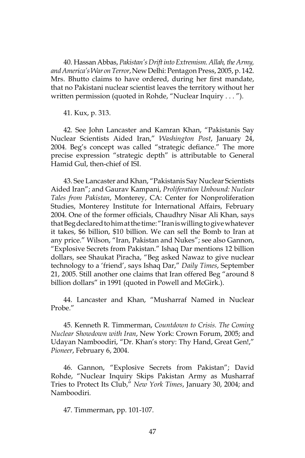40. Hassan Abbas, *Pakistan's Drift into Extremism. Allah, the Army, and America's War on Terror*, NewDelhi: Pentagon Press, 2005, p. 142. Mrs. Bhutto claims to have ordered, during her first mandate, that no Pakistani nuclear scientist leaves the territory without her written permission (quoted in Rohde, "Nuclear Inquiry . . . ").

41. Kux, p. 313.

42. See John Lancaster and Kamran Khan, "Pakistanis Say Nuclear Scientists Aided Iran," *Washington Post*, January 24, 2004. Beg's concept was called "strategic defiance." The more precise expression "strategic depth" is attributable to General Hamid Gul, then-chief of ISI.

43. See Lancaster and Khan, "Pakistanis Say Nuclear Scientists Aided Iran"; and Gaurav Kampani, *Proliferation Unbound: Nuclear Tales from Pakistan*, Monterey, CA: Center for Nonproliferation Studies, Monterey Institute for International Affairs, February 2004. One of the former officials, Chaudhry Nisar Ali Khan, says that Beg declared to him at the time: "Iran is willing to give whatever it takes, \$6 billion, \$10 billion. We can sell the Bomb to Iran at any price." Wilson, "Iran, Pakistan and Nukes"; see also Gannon, "Explosive Secrets from Pakistan." Ishaq Dar mentions 12 billion dollars, see Shaukat Piracha, "Beg asked Nawaz to give nuclear technology to a 'friend', says Ishaq Dar," *Daily Times*, September 21, 2005. Still another one claims that Iran offered Beg "around 8 billion dollars" in 1991 (quoted in Powell and McGirk.).

44. Lancaster and Khan, "Musharraf Named in Nuclear Probe."

45. Kenneth R. Timmerman, *Countdown to Crisis. The Coming Nuclear Showdown with Iran*, New York: Crown Forum, 2005; and Udayan Namboodiri, "Dr. Khan's story: Thy Hand, Great Gen!," *Pioneer*, February 6, 2004.

46. Gannon, "Explosive Secrets from Pakistan"; David Rohde, "Nuclear Inquiry Skips Pakistan Army as Musharraf Tries to Protect Its Club," *New York Times*, January 30, 2004; and Namboodiri*.*

47. Timmerman, pp. 101-107.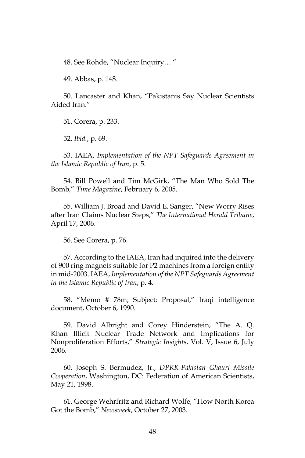48. See Rohde, "Nuclear Inquiry… "

49. Abbas, p. 148.

50. Lancaster and Khan, "Pakistanis Say Nuclear Scientists Aided Iran."

51. Corera, p. 233.

52. *Ibid.*, p. 69.

53. IAEA, *Implementation of the NPT Safeguards Agreement in the Islamic Republic of Iran*, p. 5.

54. Bill Powell and Tim McGirk, "The Man Who Sold The Bomb," *Time Magazine*, February 6, 2005.

55. William J. Broad and David E. Sanger, "New Worry Rises after Iran Claims Nuclear Steps," *The International Herald Tribune*, April 17, 2006.

56. See Corera, p. 76.

57. According to the IAEA, Iran had inquired into the delivery of 900 ring magnets suitable for P2 machines from a foreign entity in mid-2003. IAEA, *Implementation of the NPT Safeguards Agreement in the Islamic Republic of Iran*, p. 4.

58. "Memo # 78m, Subject: Proposal," Iraqi intelligence document, October 6, 1990.

59. David Albright and Corey Hinderstein, "The A. Q. Khan Illicit Nuclear Trade Network and Implications for Nonproliferation Efforts," *Strategic Insights*, Vol. V, Issue 6, July 2006.

60. Joseph S. Bermudez, Jr., *DPRK-Pakistan Ghauri Missile Cooperation*, Washington, DC: Federation of American Scientists, May 21, 1998.

61. George Wehrfritz and Richard Wolfe, "How North Korea Got the Bomb," *Newsweek*, October 27, 2003.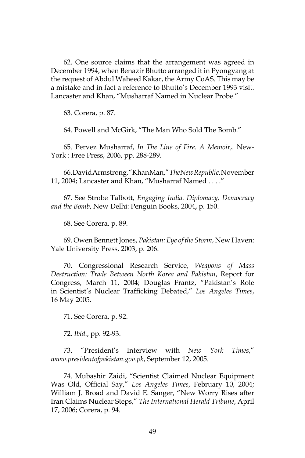62. One source claims that the arrangement was agreed in December 1994, when Benazir Bhutto arranged it in Pyongyang at the request of Abdul Waheed Kakar, the Army CoAS. This may be a mistake and in fact a reference to Bhutto's December 1993 visit. Lancaster and Khan, "Musharraf Named in Nuclear Probe."

63. Corera, p. 87.

64. Powell and McGirk, "The Man Who Sold The Bomb."

65. Pervez Musharraf, *In The Line of Fire. A Memoir*,. New-York : Free Press, 2006, pp. 288-289.

66. David Armstrong, "Khan Man," *The New Republic*,November 11, 2004; Lancaster and Khan, "Musharraf Named . . . ."

67. See Strobe Talbott, *Engaging India. Diplomacy, Democracy and the Bomb*, New Delhi: Penguin Books, 2004**,** p. 150.

68. See Corera, p. 89.

69. Owen Bennett Jones, *Pakistan: Eye of the Storm*, New Haven: Yale University Press, 2003, p. 206.

70. Congressional Research Service, *Weapons of Mass Destruction: Trade Between North Korea and Pakistan*, Report for Congress, March 11, 2004; Douglas Frantz, "Pakistan's Role in Scientist's Nuclear Trafficking Debated," *Los Angeles Times*, 16 May 2005.

71. See Corera, p. 92.

72. *Ibid*., pp. 92-93.

73. "President's Interview with *New York Times*," *www.presidentofpakistan.gov.pk*, September 12, 2005.

74. Mubashir Zaidi, "Scientist Claimed Nuclear Equipment Was Old, Official Say," *Los Angeles Times*, February 10, 2004; William J. Broad and David E. Sanger, "New Worry Rises after Iran Claims Nuclear Steps," *The International Herald Tribune*, April 17, 2006; Corera, p. 94.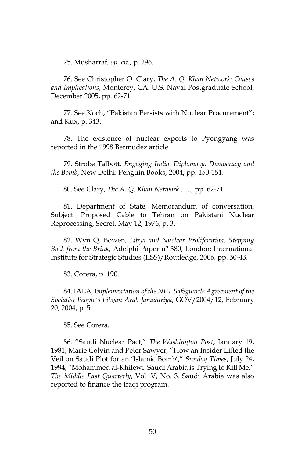75. Musharraf, *op. cit.*, p. 296.

76. See Christopher O. Clary, *The A. Q. Khan Network: Causes and Implications*, Monterey, CA: U.S. Naval Postgraduate School, December 2005, pp. 62-71.

77. See Koch, "Pakistan Persists with Nuclear Procurement"; and Kux, p. 343.

78. The existence of nuclear exports to Pyongyang was reported in the 1998 Bermudez article.

79. Strobe Talbott, *Engaging India. Diplomacy, Democracy and the Bomb*, New Delhi: Penguin Books, 2004**,** pp. 150-151.

80. See Clary, *The A. Q. Khan Network* . . .*.*, pp. 62-71.

81. Department of State, Memorandum of conversation, Subject: Proposed Cable to Tehran on Pakistani Nuclear Reprocessing, Secret, May 12, 1976, p. 3.

82. Wyn Q. Bowen, *Libya and Nuclear Proliferation. Stepping Back from the Brink*, Adelphi Paper n° 380, London: International Institute for Strategic Studies (IISS)/Routledge, 2006, pp. 30-43.

83. Corera, p. 190.

84. IAEA, I*mplementation of the NPT Safeguards Agreement of the Socialist People's Libyan Arab Jamahiriya*, GOV/2004/12, February 20, 2004, p. 5.

85. See Corera*.*

86. "Saudi Nuclear Pact," *The Washington Post*, January 19, 1981; Marie Colvin and Peter Sawyer, "How an Insider Lifted the Veil on Saudi Plot for an 'Islamic Bomb'," *Sunday Times*, July 24, 1994; "Mohammed al-Khilewi: Saudi Arabia is Trying to Kill Me," *The Middle East Quarterly*, Vol. V, No. 3. Saudi Arabia was also reported to finance the Iraqi program.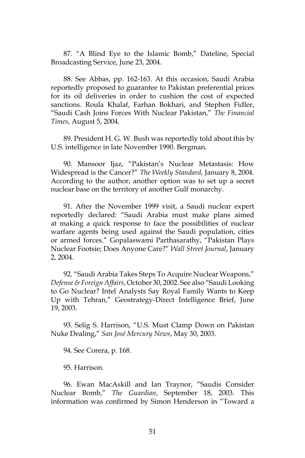87. "A Blind Eye to the Islamic Bomb," Dateline, Special Broadcasting Service, June 23, 2004.

88. See Abbas, pp. 162-163. At this occasion, Saudi Arabia reportedly proposed to guarantee to Pakistan preferential prices for its oil deliveries in order to cushion the cost of expected sanctions. Roula Khalaf, Farhan Bokhari, and Stephen Fidler, "Saudi Cash Joins Forces With Nuclear Pakistan," *The Financial Times*, August 5, 2004.

89. President H. G. W. Bush was reportedly told about this by U.S. intelligence in late November 1990. Bergman.

90. Mansoor Ijaz, "Pakistan's Nuclear Metastasis: How Widespread is the Cancer?" *The Weekly Standard*, January 8, 2004. According to the author, another option was to set up a secret nuclear base on the territory of another Gulf monarchy.

91. After the November 1999 visit, a Saudi nuclear expert reportedly declared: "Saudi Arabia must make plans aimed at making a quick response to face the possibilities of nuclear warfare agents being used against the Saudi population, cities or armed forces." Gopalaswami Parthasarathy, "Pakistan Plays Nuclear Footsie; Does Anyone Care?" *Wall Street Journal*, January 2, 2004.

92. "Saudi Arabia Takes Steps To Acquire Nuclear Weapons," *Defense & Foreign Affairs*, October 30, 2002. See also "Saudi Looking to Go Nuclear? Intel Analysts Say Royal Family Wants to Keep Up with Tehran," Geostrategy-Direct Intelligence Brief, June 19, 2003.

93. Selig S. Harrison, "U.S. Must Clamp Down on Pakistan Nuke Dealing," *San José Mercury News*, May 30, 2003.

94. See Corera, p. 168.

95. Harrison*.*

96. Ewan MacAskill and Ian Traynor, "Saudis Consider Nuclear Bomb," *The Guardian*, September 18, 2003. This information was confirmed by Simon Henderson in "Toward a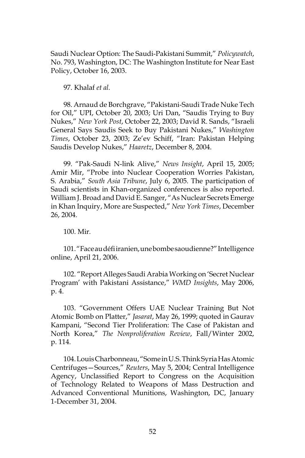Saudi Nuclear Option: The Saudi-Pakistani Summit," *Policywatch*, No. 793, Washington, DC: The Washington Institute for Near East Policy, October 16, 2003.

97. Khalaf *et al.*

98. Arnaud de Borchgrave, "Pakistani-Saudi Trade Nuke Tech for Oil," UPI, October 20, 2003; Uri Dan, "Saudis Trying to Buy Nukes," *New York Post*, October 22, 2003; David R. Sands, "Israeli General Says Saudis Seek to Buy Pakistani Nukes," *Washington Times*, October 23, 2003; Ze'ev Schiff, "Iran: Pakistan Helping Saudis Develop Nukes," *Haaretz*, December 8, 2004.

99. "Pak-Saudi N-link Alive," *News Insight*, April 15, 2005; Amir Mir, "Probe into Nuclear Cooperation Worries Pakistan, S. Arabia," *South Asia Tribune*, July 6, 2005. The participation of Saudi scientists in Khan-organized conferences is also reported. William J. Broad and David E. Sanger, "As Nuclear Secrets Emerge in Khan Inquiry, More are Suspected," *New York Times*, December 26, 2004.

100. Mir*.*

101. "Face au défi iranien, une bombe saoudienne?"Intelligence online, April 21, 2006.

102. "Report Alleges Saudi Arabia Working on 'Secret Nuclear Program' with Pakistani Assistance," *WMD Insights*, May 2006, p. 4.

103. "Government Offers UAE Nuclear Training But Not Atomic Bomb on Platter," *Jasarat*, May 26, 1999; quoted in Gaurav Kampani, "Second Tier Proliferation: The Case of Pakistan and North Korea," *The Nonproliferation Review*, Fall/Winter 2002, p. 114.

104. Louis Charbonneau, "Some in U.S. Think Syria Has Atomic Centrifuges—Sources," *Reuters*, May 5, 2004; Central Intelligence Agency, Unclassified Report to Congress on the Acquisition of Technology Related to Weapons of Mass Destruction and Advanced Conventional Munitions, Washington, DC, January 1-December 31, 2004.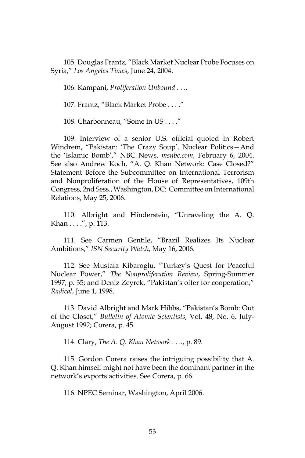105. Douglas Frantz, "Black Market Nuclear Probe Focuses on Syria," *Los Angeles Times*, June 24, 2004.

106. Kampani, *Proliferation Unbound* . . .*.*

107. Frantz, "Black Market Probe . . . ."

108. Charbonneau, "Some in US . . . ."

109. Interview of a senior U.S. official quoted in Robert Windrem, "Pakistan: 'The Crazy Soup'. Nuclear Politics—And the 'Islamic Bomb'," NBC News, *msnbc.com*, February 6, 2004. See also Andrew Koch, "A. Q. Khan Network: Case Closed?" Statement Before the Subcommittee on International Terrorism and Nonproliferation of the House of Representatives, 109th Congress, 2nd Sess., Washington, DC: Committee on International Relations, May 25, 2006.

110. Albright and Hinderstein, "Unraveling the A. Q. Khan . . . .", p. 113.

111. See Carmen Gentile, "Brazil Realizes Its Nuclear Ambitions," *ISN Security Watch*, May 16, 2006.

112. See Mustafa Kibaroglu, "Turkey's Quest for Peaceful Nuclear Power," *The Nonproliferation Review*, Spring-Summer 1997, p. 35; and Deniz Zeyrek, "Pakistan's offer for cooperation," *Radical*, June 1, 1998.

113. David Albright and Mark Hibbs, "Pakistan's Bomb: Out of the Closet," *Bulletin of Atomic Scientists*, Vol. 48, No. 6, July-August 1992; Corera, p. 45.

114. Clary, *The A. Q. Khan Network* . . .*.*, p. 89.

115. Gordon Corera raises the intriguing possibility that A. Q. Khan himself might not have been the dominant partner in the network's exports activities. See Corera, p. 66.

116. NPEC Seminar, Washington, April 2006.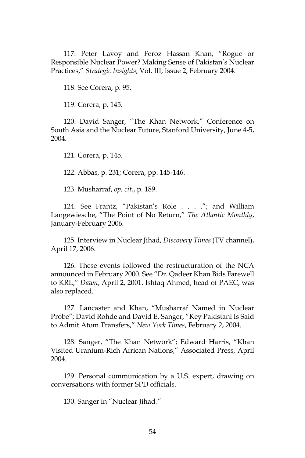117. Peter Lavoy and Feroz Hassan Khan, "Rogue or Responsible Nuclear Power? Making Sense of Pakistan's Nuclear Practices," *Strategic Insights*, Vol. III, Issue 2, February 2004.

118. See Corera, p. 95.

119. Corera, p. 145.

120. David Sanger, "The Khan Network," Conference on South Asia and the Nuclear Future, Stanford University, June 4-5, 2004.

121. Corera, p. 145.

122. Abbas, p. 231; Corera, pp. 145-146.

123. Musharraf, *op. cit.*, p. 189.

124. See Frantz, "Pakistan's Role . . . ."; and William Langewiesche, "The Point of No Return," *The Atlantic Monthly*, January-February 2006.

125. Interview in Nuclear Jihad, *Discovery Times* (TV channel), April 17, 2006.

126. These events followed the restructuration of the NCA announced in February 2000. See "Dr. Qadeer Khan Bids Farewell to KRL," *Dawn*, April 2, 2001. Ishfaq Ahmed, head of PAEC, was also replaced.

127. Lancaster and Khan, "Musharraf Named in Nuclear Probe"; David Rohde and David E. Sanger, "Key Pakistani Is Said to Admit Atom Transfers," *New York Times*, February 2, 2004.

128. Sanger, "The Khan Network"; Edward Harris, "Khan Visited Uranium-Rich African Nations," Associated Press, April 2004.

129. Personal communication by a U.S. expert, drawing on conversations with former SPD officials.

130. Sanger in "Nuclear Jihad*."*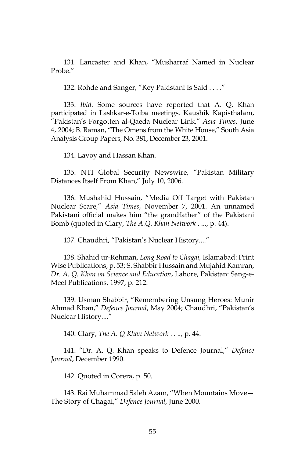131. Lancaster and Khan, "Musharraf Named in Nuclear Probe."

132. Rohde and Sanger, "Key Pakistani Is Said . . . ."

133. *Ibid*. Some sources have reported that A. Q. Khan participated in Lashkar-e-Toiba meetings. Kaushik Kapisthalam, "Pakistan's Forgotten al-Qaeda Nuclear Link," *Asia Times*, June 4, 2004; B. Raman, "The Omens from the White House," South Asia Analysis Group Papers, No. 381, December 23, 2001.

134. Lavoy and Hassan Khan*.*

135. NTI Global Security Newswire, "Pakistan Military Distances Itself From Khan," July 10, 2006.

136. Mushahid Hussain, "Media Off Target with Pakistan Nuclear Scare," *Asia Times*, November 7, 2001. An unnamed Pakistani official makes him "the grandfather" of the Pakistani Bomb (quoted in Clary, *The A.Q. Khan Network* . ..*.*, p. 44).

137. Chaudhri, "Pakistan's Nuclear History...."

138. Shahid ur-Rehman, *Long Road to Chagai,* Islamabad: Print Wise Publications, p. 53; S. Shabbir Hussain and Mujahid Kamran, *Dr. A. Q. Khan on Science and Education*, Lahore, Pakistan: Sang-e-Meel Publications, 1997, p. 212.

139. Usman Shabbir, "Remembering Unsung Heroes: Munir Ahmad Khan," *Defence Journal*, May 2004; Chaudhri, "Pakistan's Nuclear History...."

140. Clary, *The A. Q Khan Network* . . .*.*, p. 44.

141. "Dr. A. Q. Khan speaks to Defence Journal," *Defence Journal*, December 1990.

142. Quoted in Corera, p. 50.

143. Rai Muhammad Saleh Azam, "When Mountains Move— The Story of Chagai," *Defence Journal*, June 2000.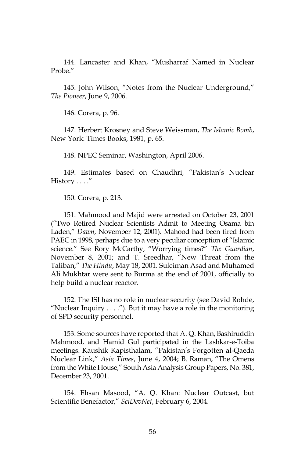144. Lancaster and Khan, "Musharraf Named in Nuclear Probe."

145. John Wilson, "Notes from the Nuclear Underground," *The Pioneer*, June 9, 2006.

146. Corera, p. 96.

147. Herbert Krosney and Steve Weissman, *The Islamic Bomb*, New York: Times Books, 1981, p. 65.

148. NPEC Seminar, Washington, April 2006.

149. Estimates based on Chaudhri, "Pakistan's Nuclear  $History \ldots$ ."

150. Corera, p. 213.

151. Mahmood and Majid were arrested on October 23, 2001 ("Two Retired Nuclear Scientists Admit to Meeting Osama bin Laden," *Dawn*, November 12, 2001). Mahood had been fired from PAEC in 1998, perhaps due to a very peculiar conception of "Islamic science." See Rory McCarthy, "Worrying times?" *The Guardian*, November 8, 2001; and T. Sreedhar, "New Threat from the Taliban," *The Hindu*, May 18, 2001. Suleiman Asad and Muhamed Ali Mukhtar were sent to Burma at the end of 2001, officially to help build a nuclear reactor.

152. The ISI has no role in nuclear security (see David Rohde, "Nuclear Inquiry . . . ."). But it may have a role in the monitoring of SPD security personnel.

153. Some sources have reported that A. Q. Khan, Bashiruddin Mahmood, and Hamid Gul participated in the Lashkar-e-Toiba meetings. Kaushik Kapisthalam, "Pakistan's Forgotten al-Qaeda Nuclear Link," *Asia Times*, June 4, 2004; B. Raman, "The Omens from the White House," South Asia Analysis Group Papers, No. 381, December 23, 2001.

154. Ehsan Masood, "A. Q. Khan: Nuclear Outcast, but Scientific Benefactor," *SciDevNet*, February 6, 2004.